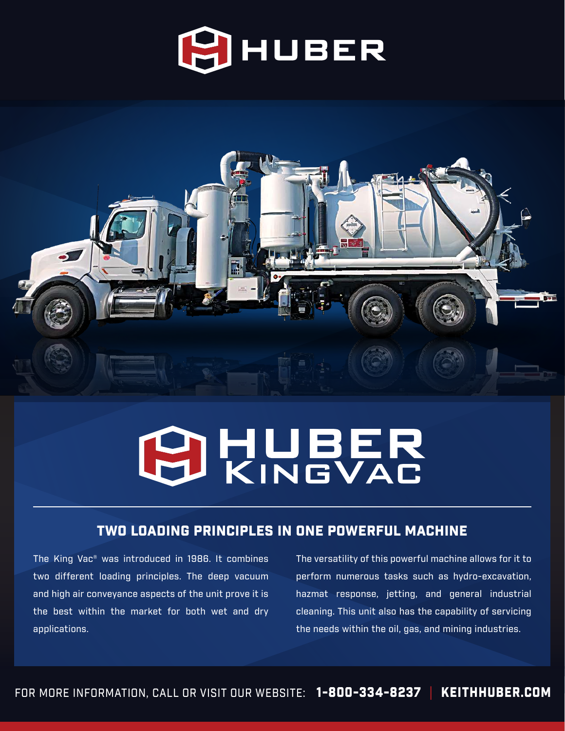



# **PHUBER**

### TWO LOADING PRINCIPLES IN ONE POWERFUL MACHINE

The King Vac® was introduced in 1986. It combines two different loading principles. The deep vacuum and high air conveyance aspects of the unit prove it is the best within the market for both wet and dry applications.

The versatility of this powerful machine allows for it to perform numerous tasks such as hydro-excavation, hazmat response, jetting, and general industrial cleaning. This unit also has the capability of servicing the needs within the oil, gas, and mining industries.